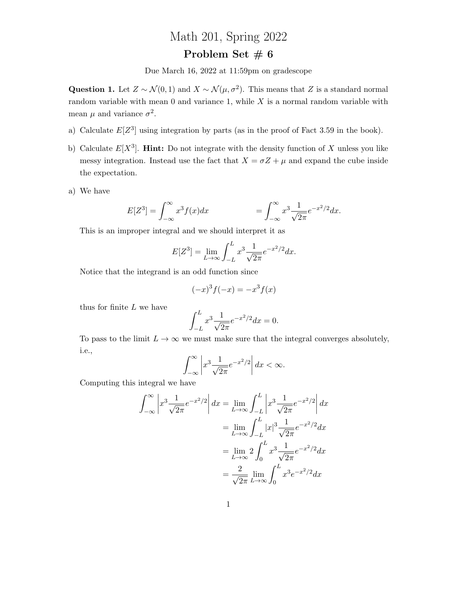## Math 201, Spring 2022

## Problem Set  $\# 6$

Due March 16, 2022 at 11:59pm on gradescope

Question 1. Let  $Z \sim \mathcal{N}(0, 1)$  and  $X \sim \mathcal{N}(\mu, \sigma^2)$ . This means that Z is a standard normal random variable with mean  $0$  and variance 1, while  $X$  is a normal random variable with mean  $\mu$  and variance  $\sigma^2$ .

- a) Calculate  $E[Z^3]$  using integration by parts (as in the proof of Fact 3.59 in the book).
- b) Calculate  $E[X^3]$ . **Hint:** Do not integrate with the density function of X unless you like messy integration. Instead use the fact that  $X = \sigma Z + \mu$  and expand the cube inside the expectation.
- a) We have

$$
E[Z^3] = \int_{-\infty}^{\infty} x^3 f(x) dx \qquad \qquad = \int_{-\infty}^{\infty} x^3 \frac{1}{\sqrt{2\pi}} e^{-x^2/2} dx.
$$

This is an improper integral and we should interpret it as

$$
E[Z^3] = \lim_{L \to \infty} \int_{-L}^{L} x^3 \frac{1}{\sqrt{2\pi}} e^{-x^2/2} dx.
$$

Notice that the integrand is an odd function since

$$
(-x)^3 f(-x) = -x^3 f(x)
$$

thus for finite  $L$  we have

$$
\int_{-L}^{L} x^3 \frac{1}{\sqrt{2\pi}} e^{-x^2/2} dx = 0.
$$

To pass to the limit  $L \to \infty$  we must make sure that the integral converges absolutely, i.e.,

$$
\int_{-\infty}^{\infty} \left| x^3 \frac{1}{\sqrt{2\pi}} e^{-x^2/2} \right| dx < \infty.
$$

Computing this integral we have

$$
\int_{-\infty}^{\infty} \left| x^3 \frac{1}{\sqrt{2\pi}} e^{-x^2/2} \right| dx = \lim_{L \to \infty} \int_{-L}^{L} \left| x^3 \frac{1}{\sqrt{2\pi}} e^{-x^2/2} \right| dx
$$

$$
= \lim_{L \to \infty} \int_{-L}^{L} |x|^3 \frac{1}{\sqrt{2\pi}} e^{-x^2/2} dx
$$

$$
= \lim_{L \to \infty} 2 \int_{0}^{L} x^3 \frac{1}{\sqrt{2\pi}} e^{-x^2/2} dx
$$

$$
= \frac{2}{\sqrt{2\pi}} \lim_{L \to \infty} \int_{0}^{L} x^3 e^{-x^2/2} dx
$$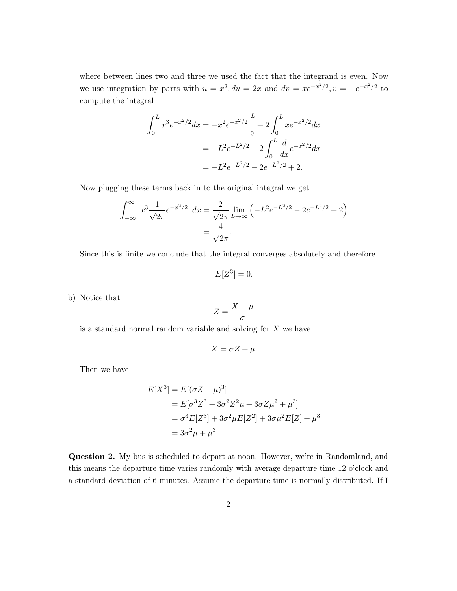where between lines two and three we used the fact that the integrand is even. Now we use integration by parts with  $u = x^2$ ,  $du = 2x$  and  $dv = xe^{-x^2/2}$ ,  $v = -e^{-x^2/2}$  to compute the integral

$$
\int_0^L x^3 e^{-x^2/2} dx = -x^2 e^{-x^2/2} \Big|_0^L + 2 \int_0^L x e^{-x^2/2} dx
$$
  
=  $-L^2 e^{-L^2/2} - 2 \int_0^L \frac{d}{dx} e^{-x^2/2} dx$   
=  $-L^2 e^{-L^2/2} - 2e^{-L^2/2} + 2$ .

Now plugging these terms back in to the original integral we get

$$
\int_{-\infty}^{\infty} \left| x^3 \frac{1}{\sqrt{2\pi}} e^{-x^2/2} \right| dx = \frac{2}{\sqrt{2\pi}} \lim_{L \to \infty} \left( -L^2 e^{-L^2/2} - 2e^{-L^2/2} + 2 \right)
$$

$$
= \frac{4}{\sqrt{2\pi}}.
$$

Since this is finite we conclude that the integral converges absolutely and therefore

$$
E[Z^3] = 0.
$$

b) Notice that

$$
Z = \frac{X - \mu}{\sigma}
$$

is a standard normal random variable and solving for  $X$  we have

$$
X = \sigma Z + \mu.
$$

Then we have

$$
E[X^3] = E[(\sigma Z + \mu)^3]
$$
  
=  $E[\sigma^3 Z^3 + 3\sigma^2 Z^2 \mu + 3\sigma Z \mu^2 + \mu^3]$   
=  $\sigma^3 E[Z^3] + 3\sigma^2 \mu E[Z^2] + 3\sigma \mu^2 E[Z] + \mu^3$   
=  $3\sigma^2 \mu + \mu^3$ .

Question 2. My bus is scheduled to depart at noon. However, we're in Randomland, and this means the departure time varies randomly with average departure time 12 o'clock and a standard deviation of 6 minutes. Assume the departure time is normally distributed. If I